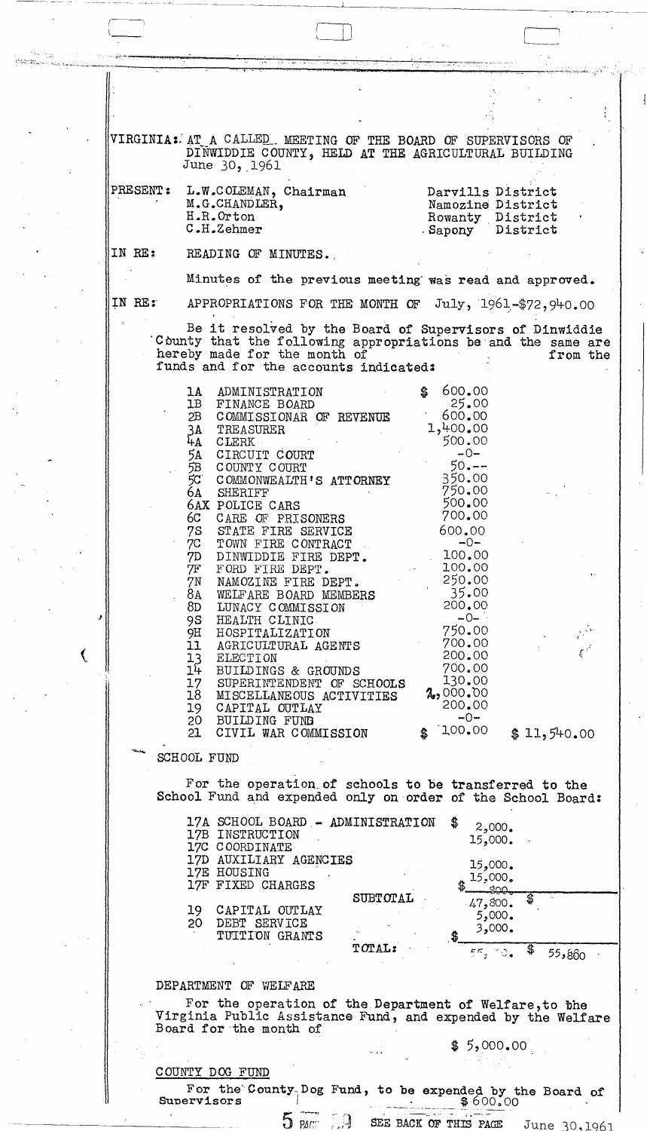VIRGINIA: AT A CALLED MEETING OF THE BOARD OF SUPERVISORS OF DINWIDDIE COUNTY, HELD AT THE AGRICULTURAL BUILDING June  $30, 1961$ 

| PRESENT :<br>$\bullet$ | L.W.COLEMAN, Chairman<br>M.G.CHANDLER,<br>H.R.Orton<br>C.H.Zehmer | Darvills District<br>Namozine District<br>Rowanty District<br>Sapony District |
|------------------------|-------------------------------------------------------------------|-------------------------------------------------------------------------------|
| IN RE:                 | READING OF MINUTES.                                               |                                                                               |

Minutes of the previous meeting was read and approved.

IN RE:

APPROPRIATIONS FOR THE MONTH OF  $July, 1961-$72,940.00$ 

Be it resolved by the Board of Supervisors of Dinwiddie County that the following appropriations be and the same are hereby made for the month of from the funds and for the accounts indicated:

| 1A              | ADMINISTRATION                                                       | 600.00<br>\$                |                      |
|-----------------|----------------------------------------------------------------------|-----------------------------|----------------------|
| 1B              | FINANCE BOARD                                                        | 25.00                       |                      |
| 2B              | COMMISSIONAR OF REVENUE                                              | 600,00                      |                      |
| 3A              | TREASURER                                                            | 1,400,00                    |                      |
| 4A              | <b>CLERK</b>                                                         | 500.00                      |                      |
| 5A              | CIRCUIT COURT                                                        | $-0-$                       |                      |
| 5B              | COUNTY COURT                                                         | $50 - -$                    |                      |
| 5C              | COMMONWEALTH'S ATTORNEY                                              | 350.00<br>750.00            |                      |
| 6A              | SHERIFF                                                              |                             |                      |
|                 | 6AX POLICE CARS                                                      | 500.00                      |                      |
| 6C              | CARE OF PRISONERS                                                    | 700.00                      |                      |
|                 | 7S STATE FIRE SERVICE                                                | 600.00                      |                      |
|                 | 7C TOWN FIRE CONTRACT                                                | $-0-$                       |                      |
|                 | 7D DINWIDDIE FIRE DEPT.                                              | 100.00                      |                      |
| 7F              | FORD FIRE DEPT.                                                      | 100,00                      |                      |
| 7N              | NAMOZINE FIRE DEPT.                                                  | $250.00$<br>35.00<br>200.00 |                      |
|                 |                                                                      |                             |                      |
|                 | 8A WELFARE BOARD MEMBERS<br>8D LUNACY COMMISSION<br>9S HEALTH CLINIC |                             |                      |
| 9S              | HEALTH CLINIC                                                        | $-0-$                       |                      |
| 9H              | HOSPITALIZATION                                                      | $-750.00$                   |                      |
|                 | 11 AGRICULTURAL AGENTS                                               | 700.00                      |                      |
| 13 <sup>7</sup> | ELECTION                                                             | 200.00                      | $\frac{1}{\sqrt{2}}$ |
| 1 <sup>1</sup>  | BUILDINGS & GROUNDS                                                  | 700.00                      |                      |
| 17              | SUPERINTENDENT OF SCHOOLS                                            | 130.00                      |                      |
| 18              | MISCELLANEOUS ACTIVITIES                                             | 2,000.00                    |                      |
| 19              | CAPITAL OUTLAY                                                       | 200.00                      |                      |
|                 | 20 BUILDING FUND                                                     | $-0-$                       |                      |
|                 | 21 CIVIL WAR COMMISSION                                              | 100,00<br>\$                |                      |
|                 |                                                                      |                             | \$11,540.00          |

**SCHOOL FUND** 

For the operation of schools to be transferred to the School Fund and expended only on order of the School Board:

17A SCHOOL BOARD - ADMINISTRATION \$  $2,000.$ 17B INSTRUCTION 15,000. 17C COORDINATE 17D AUXILIARY AGENCIES 15,000. 17E HOUSING 15,000. 17F FIXED CHARGES ഹ്ഥ SUBTOTAL 47,800. CAPITAL OUTLAY 19  $5,000.$ 20 DEBT SERVICE 3,000. TUITION GRANT TOTAL:  $^{\prime\prime}$  O  $_{\bullet}$  $ES_{\frac{1}{2}}$ 55,860

## DEPARTMENT OF WELFARE

For the operation of the Department of Welfare, to the Virginia Public Assistance Fund, and expended by the Welfare Board for the month of

 $$5,000.00$ 

SEE BACK OF THIS PAGE June 20

1061

## COUNTY DOG FUND

For the County Dog Fund, to be expended by the Board of Supervisors  $$600,00$ 

 $5 \text{ m}$